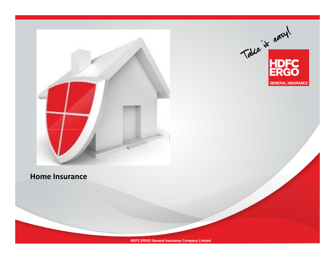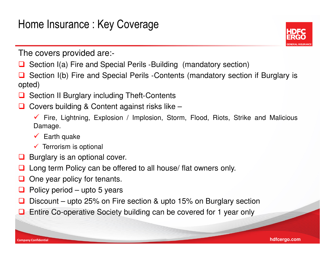

The covers provided are: ‐

- **□** Section I(a) Fire and Special Perils -Building (mandatory section)
- ப Section I(b) Fire and Special Perils ‐Contents (mandatory section if Burglary is opted)
- **□** Section II Burglary including Theft-Contents
- ப Covers building & Content against risks like –
	- Fire, Lightning, Explosion / Implosion, Storm, Flood, Riots, Strike and Malicious Damage.
	- Earth quake
	- $\checkmark$  Terrorism is optional
- **Burglary is an optional cover.**<br>But also results and the contract of the contract of the contract of the contract of the contract of the control
- $\Box$ Long term Policy can be offered to all house/ flat owners only.
- ப One year policy for tenants.
- $\Box$ Policy period – upto <sup>5</sup> years
- ப Discount – upto 25% on Fire section & upto 15% on Burglary section
- **Q** Entire Co-operative Society building can be covered for 1 year only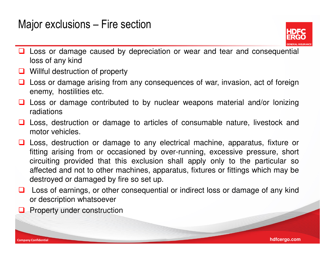### Major exclusions – Fire section



- □ Loss or damage caused by depreciation or wear and tear and consequential<br>loss of any kind loss of any kind
- **Q** Willful destruction of property
- $\Box$  Loss or damage arising from any consequences of war, invasion, act of foreign approximation of consequences of war, invasion, act of foreign enemy, hostilities etc.
- Loss or damage contributed to by nuclear weapons material and/or lonizing<br>radiations radiations
- **□** Loss, destruction or damage to articles of consumable nature, livestock and motor vobicles motor vehicles.
- Loss, destruction or damage to any electrical machine, apparatus, fixture or<br>fitting arising from ar eccasioned by over rupping, excessive pressure, short fitting arising from or occasioned by over-running, excessive pressure, short circuiting provided that this exclusion shall apply only to the particular so affected and not to other machines, apparatus, fixtures or fittings which may bedestroyed or damaged by fire so set up.
- □ Loss of earnings, or other consequential or indirect loss or damage of any kind<br>or description whatsoover or description whatsoever

**hdfcergo.com**

**Q** Property under construction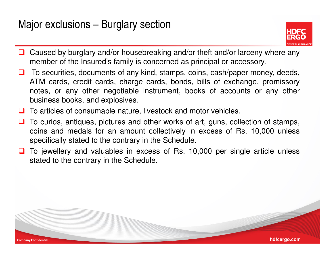### Major exclusions – Burglary section



- ப Caused by burglary and/or housebreaking and/or theft and/or larceny where any member of the Insured's family is concerned as principal or accessory.
- To securities, documents of any kind, stamps, coins, cash/paper money, deeds, ATM cards, credit cards, charge cards, bonds, bills of exchange, promissory notes, or any other negotiable instrument, books of accounts or any otherbusiness books, and explosives.
- **T** To articles of consumable nature, livestock and motor vehicles.
- $\Box$  To curios, antiques, pictures and other works of art, guns, collection of stamps, coins and medals for an amount collectively in excess of Rs. 10,000 unless specifically stated to the contrary in the Schedule.
- $\Box$  To jewellery and valuables in excess of Rs. 10,000 per single article unless<br>stated to the contrary in the Schodule stated to the contrary in the Schedule.

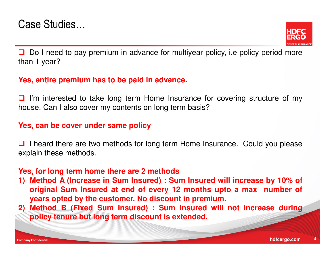

**□** Do I need to pay premium in advance for multiyear policy, i.e policy period more<br>than 1 year? than <sup>1</sup> year?

#### **Yes, entire premium has to be paid in advance.**

 $\Box$  I'm interested to take long term Home Insurance for covering structure of my<br>bouse Can Lake sover my contents on long term basis? house. Can I also cover my contents on long term basis?

### **Yes, can be cover under same policy**

**I** I heard there are two methods for long term Home Insurance. Could you please explain these methods.

#### **Yes, for long term home there are 2 methods**

- 1) Method A (Increase in Sum Insured) : Sum Insured will increase by 10% of original Sum Insured at end of every 12 months upto a max number of **years opted by the customer. No discount in premium.**
- 2) Method B (Fixed Sum Insured) : Sum Insured will not increase during **policy tenure but long term discount is extended.**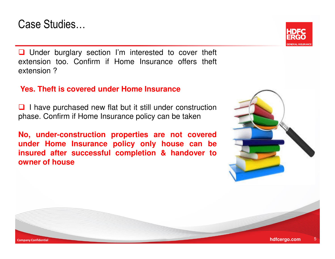### Case Studies…

Company Confidential

**Q** Under burglary section I'm interested to cover theft<br>extension too. Confirm if Home Insurance offers theft extension too. Confirm if Home Insurance offers theft extension ?

#### **Yes. Theft is covered under Home Insurance**

**Q** I have purchased new flat but it still under construction<br>phase. Confirm if Home Insurance policy can be taken phase. Confirm if Home Insurance policy can be taken

**No, under-construction properties are not covered under Home Insurance policy only house can be insured after successful completion & handover toowner of house**



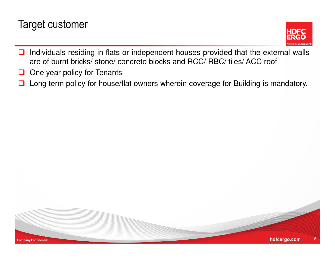## Target customer



- $\Box$  Individuals residing in flats or independent houses provided that the external walls are of burnt bricks/ stone/ concrete blocks and RCC/ RBC/ tiles/ ACC roof
- ◻ One year policy for Tenants
- $\Box$ Long term policy for house/flat owners wherein coverage for Building is mandatory.

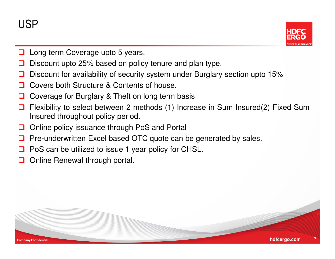

- $\sqcup$ Long term Coverage upto <sup>5</sup> years.
- ⊔ Discount upto 25% based on policy tenure and plan type.
- $\Box$ Discount for availability of security system under Burglary section upto 15%
- $\Box$ Covers both Structure & Contents of house.
- ப Coverage for Burglary & Theft on long term basis
- $\Box$  Flexibility to select between <sup>2</sup> methods (1) Increase in Sum Insured(2) Fixed Sum Insured throughout policy period.
- $\Box$ Online policy issuance through PoS and Portal
- **Q** Pre-underwritten Excel based OTC quote can be generated by sales.
- $\Box$ PoS can be utilized to issue <sup>1</sup> year policy for CHSL.
- $\Box$ Online Renewal through portal.

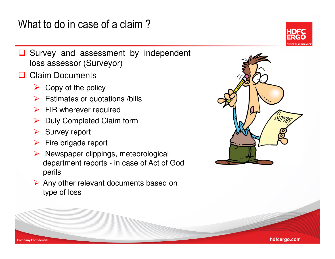What to do in case of a claim ?



- Survey and assessment by independent loss assessor (Surveyor)
- **Q** Claim Documents
	- $\triangleright$  Copy of the policy
	- > Estimates or quotations /bills
	- > FIR wherever required
	- $\blacktriangleright$ Duly Completed Claim form
	- ➤ Survey report
	- > Fire brigade report
	- $\blacktriangleright$  Newspaper clippings, meteorological department reports - in case of Act of God perils
	- Any other relevant documents based on type of loss